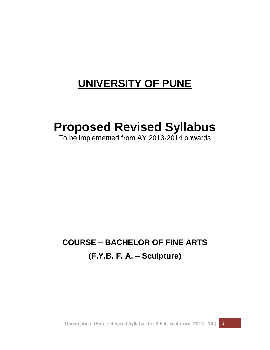# **UNIVERSITY OF PUNE**

# **Proposed Revised Syllabus**

To be implemented from AY 2013-2014 onwards

# **COURSE – BACHELOR OF FINE ARTS (F.Y.B. F. A. – Sculpture)**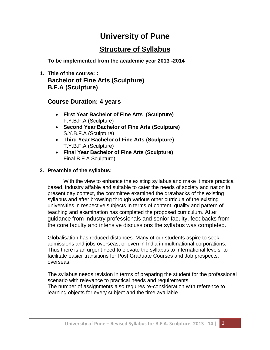# **University of Pune**

# **Structure of Syllabus**

**To be implemented from the academic year 2013 -2014**

**1. Title of the course: : Bachelor of Fine Arts (Sculpture) B.F.A (Sculpture)**

## **Course Duration: 4 years**

- **First Year Bachelor of Fine Arts (Sculpture)** F.Y.B.F.A (Sculpture)
- **Second Year Bachelor of Fine Arts (Sculpture)** S.Y.B.F.A (Sculpture)
- **Third Year Bachelor of Fine Arts (Sculpture)** T.Y.B.F.A (Sculpture)
- **Final Year Bachelor of Fine Arts (Sculpture)** Final B.F.A Sculpture)

## **2. Preamble of the syllabus:**

With the view to enhance the existing syllabus and make it more practical based, industry affable and suitable to cater the needs of society and nation in present day context, the committee examined the drawbacks of the existing syllabus and after browsing through various other curricula of the existing universities in respective subjects in terms of content, quality and pattern of teaching and examination has completed the proposed curriculum. After guidance from industry professionals and senior faculty, feedbacks from the core faculty and intensive discussions the syllabus was completed.

Globalisation has reduced distances. Many of our students aspire to seek admissions and jobs overseas, or even in India in multinational corporations. Thus there is an urgent need to elevate the syllabus to International levels, to facilitate easier transitions for Post Graduate Courses and Job prospects, overseas.

The syllabus needs revision in terms of preparing the student for the professional scenario with relevance to practical needs and requirements. The number of assignments also requires re-consideration with reference to learning objects for every subject and the time available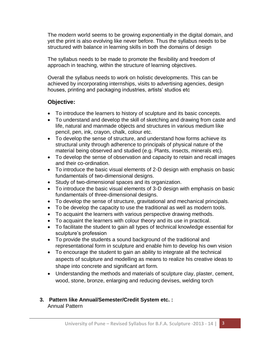The modern world seems to be growing exponentially in the digital domain, and yet the print is also evolving like never before. Thus the syllabus needs to be structured with balance in learning skills in both the domains of design

The syllabus needs to be made to promote the flexibility and freedom of approach in teaching, within the structure of learning objectives.

Overall the syllabus needs to work on holistic developments. This can be achieved by incorporating internships, visits to advertising agencies, design houses, printing and packaging industries, artists' studios etc

## **Objective:**

- To introduce the learners to history of sculpture and its basic concepts.
- To understand and develop the skill of sketching and drawing from caste and life, natural and manmade objects and structures in various medium like pencil, pen, ink, crayon, chalk, colour etc.
- To develop the sense of structure, and understand how forms achieve its structural unity through adherence to principals of physical nature of the material being observed and studied (e.g. Plants, insects, minerals etc).
- To develop the sense of observation and capacity to retain and recall images and their co-ordination.
- To introduce the basic visual elements of 2-D design with emphasis on basic fundamentals of two-dimensional designs.
- Study of two-dimensional spaces and its organization.
- To introduce the basic visual elements of 3-D design with emphasis on basic fundamentals of three-dimensional designs.
- To develop the sense of structure, gravitational and mechanical principals.
- To be develop the capacity to use the traditional as well as modern tools.
- To acquaint the learners with various perspective drawing methods.
- To acquaint the learners with colour theory and its use in practical.
- To facilitate the student to gain all types of technical knowledge essential for sculpture's profession
- To provide the students a sound background of the traditional and representational form in sculpture and enable him to develop his own vision
- To encourage the student to gain an ability to integrate all the technical aspects of sculpture and modelling as means to realize his creative ideas to shape into concrete and significant art form.
- Understanding the methods and materials of sculpture clay, plaster, cement, wood, stone, bronze, enlarging and reducing devises, welding torch

### **3. Pattern like Annual/Semester/Credit System etc. :** Annual Pattern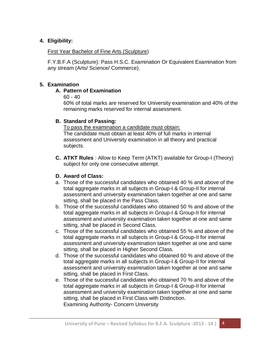#### **4. Eligibility:**

#### First Year Bachelor of Fine Arts (Sculpture)

F.Y.B.F.A (Sculpture): Pass H.S.C. Examination Or Equivalent Examination from any stream (Arts/ Science/ Commerce).

#### **5. Examination**

#### **A. Pattern of Examination**

60 - 40

60% of total marks are reserved for University examination and 40% of the remaining marks reserved for internal assessment.

#### **B. Standard of Passing:**

To pass the examination a candidate must obtain: The candidate must obtain at least 40% of full marks in internal assessment and University examination in all theory and practical subjects.

**C. ATKT Rules** : Allow to Keep Term (ATKT) available for Group-I (Theory) subject for only one consecutive attempt.

### **D. Award of Class:**

- a. Those of the successful candidates who obtained 40 % and above of the total aggregate marks in all subjects in Group-I & Group-II for internal assessment and university examination taken together at one and same sitting, shall be placed in the Pass Class.
- b. Those of the successful candidates who obtained 50 % and above of the total aggregate marks in all subjects in Group-I & Group-II for internal assessment and university examination taken together at one and same sitting, shall be placed in Second Class.
- c. Those of the successful candidates who obtained 55 % and above of the total aggregate marks in all subjects in Group-I & Group-II for internal assessment and university examination taken together at one and same sitting, shall be placed in Higher Second Class.
- d. Those of the successful candidates who obtained 60 % and above of the total aggregate marks in all subjects in Group-I & Group-II for internal assessment and university examination taken together at one and same sitting, shall be placed in First Class.
- e. Those of the successful candidates who obtained 70 % and above of the total aggregate marks in all subjects in Group-I & Group-II for internal assessment and university examination taken together at one and same sitting, shall be placed in First Class with Distinction. Examining Authority- Concern University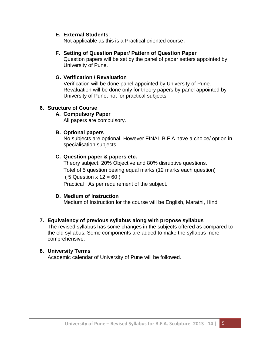#### **E. External Students**:

Not applicable as this is a Practical oriented course**.**

#### **F. Setting of Question Paper/ Pattern of Question Paper**

Question papers will be set by the panel of paper setters appointed by University of Pune.

#### **G. Verification / Revaluation**

Verification will be done panel appointed by University of Pune. Revaluation will be done only for theory papers by panel appointed by University of Pune, not for practical subjects.

#### **6. Structure of Course**

#### **A. Compulsory Paper**

All papers are compulsory.

#### **B. Optional papers**

No subjects are optional. However FINAL B.F.A have a choice/ option in specialisation subjects.

#### **C. Question paper & papers etc.**

Theory subject: 20% Objective and 80% disruptive questions. Totel of 5 question beaing equal marks (12 marks each question)  $(5$  Question x 12 = 60) Practical : As per requirement of the subject.

#### **D. Medium of Instruction**

Medium of Instruction for the course will be English, Marathi, Hindi

#### **7. Equivalency of previous syllabus along with propose syllabus**

The revised syllabus has some changes in the subjects offered as compared to the old syllabus. Some components are added to make the syllabus more comprehensive.

#### **8. University Terms**

Academic calendar of University of Pune will be followed.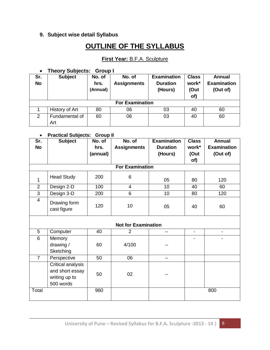#### **9. Subject wise detail Syllabus**

# **OUTLINE OF THE SYLLABUS**

### **First Year:** B.F.A. Sculpture

#### **Theory Subjects: Group I**

| Sr.<br><b>No</b>       | <b>Subject</b>        | No. of<br>hrs.<br>(Annual) | No. of<br><b>Assignments</b> | <b>Examination</b><br><b>Duration</b><br>(Hours) | <b>Class</b><br>work*<br>(Out<br>of) | Annual<br><b>Examination</b><br>(Out of) |
|------------------------|-----------------------|----------------------------|------------------------------|--------------------------------------------------|--------------------------------------|------------------------------------------|
| <b>For Examination</b> |                       |                            |                              |                                                  |                                      |                                          |
|                        | History of Art        | 80                         | 06                           | 03                                               | 40                                   | 60                                       |
| 2                      | Fundamental of<br>Art | 60                         | 06                           | 03                                               | 40                                   | 60                                       |

#### **Practical Subjects: Group II**

| Sr.             | r ractical capjects. Creap in<br><b>Subject</b> | No. of   | No. of                 | <b>Examination</b> | <b>Class</b>             | <b>Annual</b>            |
|-----------------|-------------------------------------------------|----------|------------------------|--------------------|--------------------------|--------------------------|
| <b>No</b>       |                                                 | hrs.     | <b>Assignments</b>     | <b>Duration</b>    | work*                    | <b>Examination</b>       |
|                 |                                                 |          |                        |                    |                          |                          |
|                 |                                                 | (annual) |                        | (Hours)            | (Out                     | (Out of)                 |
|                 |                                                 |          |                        |                    | of)                      |                          |
|                 |                                                 |          | <b>For Examination</b> |                    |                          |                          |
|                 | <b>Head Study</b>                               | 200      | 6                      |                    |                          |                          |
| 1               |                                                 |          |                        | 05                 | 80                       | 120                      |
| $\overline{2}$  | Design 2-D                                      | 100      | 4                      | 10                 | 40                       | 60                       |
| $\overline{3}$  | Design 3-D                                      | 200      | 6                      | 10                 | 80                       | 120                      |
| $\overline{4}$  | Drawing form                                    |          |                        |                    |                          |                          |
|                 |                                                 | 120      | 10                     | 05                 | 40                       | 60                       |
|                 | cast figure                                     |          |                        |                    |                          |                          |
|                 |                                                 |          |                        |                    |                          |                          |
|                 | <b>Not for Examination</b>                      |          |                        |                    |                          |                          |
| 5               | Computer                                        | 40       | $\overline{2}$         | $-$                | $\overline{\phantom{a}}$ | $\overline{\phantom{a}}$ |
| $6\phantom{1}6$ | Memory                                          |          |                        |                    |                          | -                        |
|                 | drawing /                                       | 60       | 4/100                  |                    |                          |                          |
|                 | Sketching                                       |          |                        |                    |                          |                          |
| $\overline{7}$  | Perspective                                     | 50       | 06                     | $-$                |                          |                          |
|                 | Critical analysis                               |          |                        |                    |                          |                          |
|                 | and short essay                                 |          |                        |                    |                          |                          |
|                 | writing up to                                   | 50       | 02                     |                    |                          |                          |
|                 | 500 words                                       |          |                        |                    |                          |                          |
|                 |                                                 |          |                        |                    |                          |                          |
| Total           |                                                 | 960      |                        |                    |                          | 800                      |
|                 |                                                 |          |                        |                    |                          |                          |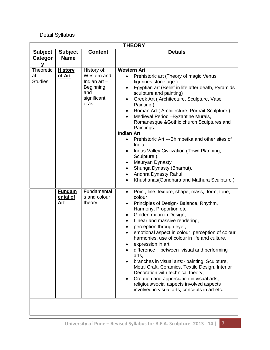## Detail Syllabus

| <b>THEORY</b>                     |                                         |                                                                                         |                                                                                                                                                                                                                                                                                                                                                                                                                                                                                                                                                                                                                                                                                                         |
|-----------------------------------|-----------------------------------------|-----------------------------------------------------------------------------------------|---------------------------------------------------------------------------------------------------------------------------------------------------------------------------------------------------------------------------------------------------------------------------------------------------------------------------------------------------------------------------------------------------------------------------------------------------------------------------------------------------------------------------------------------------------------------------------------------------------------------------------------------------------------------------------------------------------|
| <b>Subject</b>                    | <b>Subject</b>                          | <b>Content</b>                                                                          | <b>Details</b>                                                                                                                                                                                                                                                                                                                                                                                                                                                                                                                                                                                                                                                                                          |
| Categor                           | <b>Name</b>                             |                                                                                         |                                                                                                                                                                                                                                                                                                                                                                                                                                                                                                                                                                                                                                                                                                         |
| У                                 |                                         |                                                                                         |                                                                                                                                                                                                                                                                                                                                                                                                                                                                                                                                                                                                                                                                                                         |
| Theoretic<br>al<br><b>Studies</b> | <b>History</b><br>of Art                | History of:<br>Western and<br>Indian $art -$<br>Beginning<br>and<br>significant<br>eras | <b>Western Art</b><br>Prehistoric art (Theory of magic Venus<br>figurines stone age)<br>Egyptian art (Belief in life after death, Pyramids<br>sculpture and painting)<br>Greek Art (Architecture, Sculpture, Vase<br>Painting).<br>Roman Art (Architecture, Portrait Sculpture).<br>Medieval Period - Byzantine Murals,<br>Romanesque & Gothic church Sculptures and<br>Paintings.<br><b>Indian Art</b><br>Prehistoric Art ---Bhimbetka and other sites of<br>India.<br>Indus Valley Civilization (Town Planning,<br>Sculpture ).<br>Mauryan Dynasty<br>Shunga Dynasty (Bharhut).<br>Andhra Dynasty Rahul<br>Khushanas (Gandhara and Mathura Sculpture)                                                 |
|                                   | <b>Fundam</b><br>ental of<br><u>Art</u> | Fundamental<br>s and colour<br>theory                                                   | Point, line, texture, shape, mass, form, tone,<br>$\bullet$<br>colour<br>Principles of Design-Balance, Rhythm,<br>Harmony, Proportion etc.<br>Golden mean in Design,<br>Linear and massive rendering,<br>perception through eye,<br>emotional aspect in colour, perception of colour<br>harmonies, use of colour in life and culture,<br>expression in art<br>difference<br>between visual and performing<br>arts,<br>branches in visual arts:- painting, Sculpture,<br>Metal Craft, Ceramics, Textile Design, Interior<br>Decoration with technical theory,<br>Creation and appreciation in visual arts,<br>religious/social aspects involved aspects<br>involved in visual arts, concepts in art etc. |
|                                   |                                         |                                                                                         |                                                                                                                                                                                                                                                                                                                                                                                                                                                                                                                                                                                                                                                                                                         |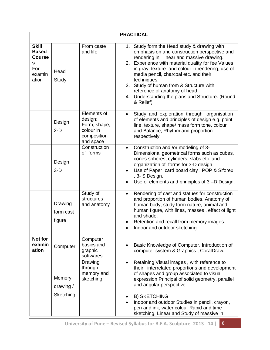| <b>PRACTICAL</b>                                                             |                                  |                                                                                 |                                                                                                                                                                                                                                                                                                                                                                                                                                                        |  |  |
|------------------------------------------------------------------------------|----------------------------------|---------------------------------------------------------------------------------|--------------------------------------------------------------------------------------------------------------------------------------------------------------------------------------------------------------------------------------------------------------------------------------------------------------------------------------------------------------------------------------------------------------------------------------------------------|--|--|
| <b>Skill</b><br><b>Based</b><br><b>Course</b><br>s<br>For<br>examin<br>ation | Head<br>Study                    | From caste<br>and life                                                          | 1. Study form the Head study & drawing with<br>emphasis on and construction perspective and<br>rendering in linear and massive drawing.<br>2. Experience with material quality for fee Values<br>in gray, texture and colour in rendering, use of<br>media pencil, charcoal etc. and their<br>techniques.<br>3. Study of human from & Structure with<br>reference of anatomy of head.<br>4. Understanding the plans and Structure. (Round<br>& Relief) |  |  |
|                                                                              | Design<br>$2-D$                  | Elements of<br>design:<br>Form, shape,<br>colour in<br>composition<br>and space | Study and exploration through organisation<br>of elements and principles of design e.g. point<br>line, texture, shape/ mass form tone, colour<br>and Balance, Rhythm and proportion<br>respectively.                                                                                                                                                                                                                                                   |  |  |
|                                                                              | Design<br>$3-D$                  | Construction<br>of forms                                                        | Construction and /or modeling of 3-<br>$\bullet$<br>Dimensional geometrical forms such as cubes,<br>cones spheres, cylinders, slabs etc. and<br>organization of forms for 3-D design,<br>Use of Paper card board clay, POP & Siforex<br>, 3- S Design.<br>Use of elements and principles of 3 -D Design.                                                                                                                                               |  |  |
|                                                                              | Drawing<br>form cast<br>figure   | Study of<br>structures<br>and anatomy                                           | Rendering of cast and statues for construction<br>$\bullet$<br>and proportion of human bodies, Anatomy of<br>human body, study form nature, animal and<br>human figure, with lines, masses, effect of light<br>and shade.<br>Retention and recall from memory images.<br>Indoor and outdoor sketching                                                                                                                                                  |  |  |
| Not for<br>examin<br>ation                                                   | Computer                         | Computer<br>basics and<br>graphic<br>softwares                                  | Basic Knowledge of Computer, Introduction of<br>computer system & Graphics, CoralDraw.                                                                                                                                                                                                                                                                                                                                                                 |  |  |
|                                                                              | Memory<br>drawing /<br>Sketching | Drawing<br>through<br>memory and<br>sketching                                   | Retaining Visual images, with reference to<br>$\bullet$<br>their interrelated proportions and development<br>of shapes and group associated to visual<br>expression Principal of solid geometry, parallel<br>and angular perspective.<br><b>B) SKETCHING</b><br>Indoor and outdoor Studies in pencil, crayon,<br>pen and ink, water colour Rapid and time<br>sketching, Linear and Study of massive in                                                 |  |  |